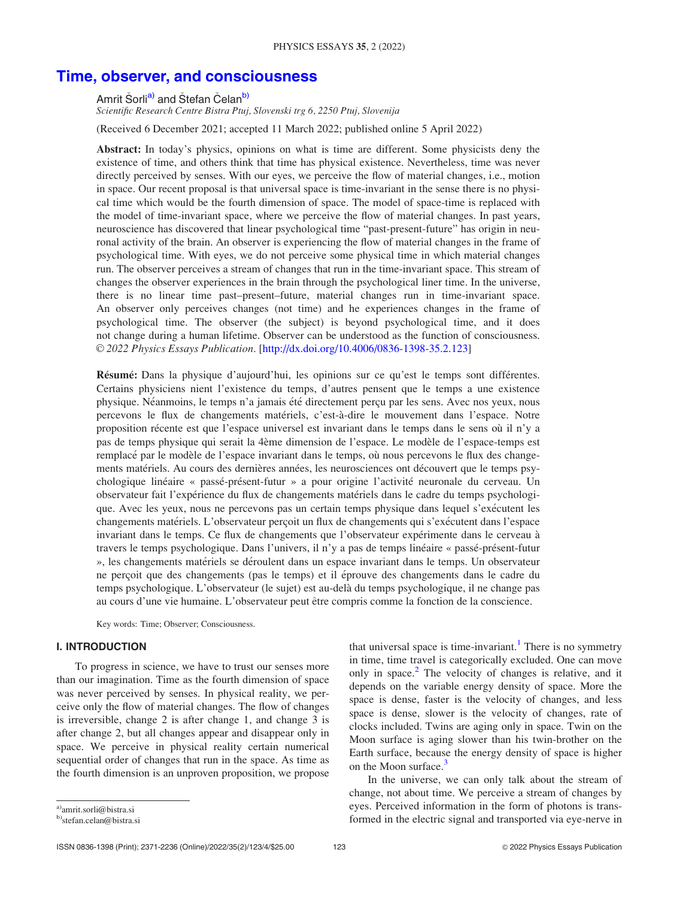# [Time, observer, and consciousness](http://dx.doi.org/10.4006/0836-1398-35.2.123)

Amrit Šorli<sup>a)</sup> and Štefan Čelan<sup>b)</sup>

Scientific Research Centre Bistra Ptuj, Slovenski trg 6, 2250 Ptuj, Slovenija

(Received 6 December 2021; accepted 11 March 2022; published online 5 April 2022)

Abstract: In today's physics, opinions on what is time are different. Some physicists deny the existence of time, and others think that time has physical existence. Nevertheless, time was never directly perceived by senses. With our eyes, we perceive the flow of material changes, i.e., motion in space. Our recent proposal is that universal space is time-invariant in the sense there is no physical time which would be the fourth dimension of space. The model of space-time is replaced with the model of time-invariant space, where we perceive the flow of material changes. In past years, neuroscience has discovered that linear psychological time "past-present-future" has origin in neuronal activity of the brain. An observer is experiencing the flow of material changes in the frame of psychological time. With eyes, we do not perceive some physical time in which material changes run. The observer perceives a stream of changes that run in the time-invariant space. This stream of changes the observer experiences in the brain through the psychological liner time. In the universe, there is no linear time past–present–future, material changes run in time-invariant space. An observer only perceives changes (not time) and he experiences changes in the frame of psychological time. The observer (the subject) is beyond psychological time, and it does not change during a human lifetime. Observer can be understood as the function of consciousness. V<sup>C</sup> 2022 Physics Essays Publication. [http://dx.doi.org/10.4006/0836-1398-35.2.123]

Résumé: Dans la physique d'aujourd'hui, les opinions sur ce qu'est le temps sont différentes. Certains physiciens nient l'existence du temps, d'autres pensent que le temps a une existence physique. Néanmoins, le temps n'a jamais été directement perçu par les sens. Avec nos yeux, nous percevons le flux de changements materiels, c'est-a-dire le mouvement dans l'espace. Notre proposition récente est que l'espace universel est invariant dans le temps dans le sens où il n'y a pas de temps physique qui serait la 4ème dimension de l'espace. Le modèle de l'espace-temps est remplacé par le modèle de l'espace invariant dans le temps, où nous percevons le flux des changements matériels. Au cours des dernières années, les neurosciences ont découvert que le temps psychologique lineaire « passe-present-futur » a pour origine l'activite neuronale du cerveau. Un observateur fait l'experience du flux de changements materiels dans le cadre du temps psychologique. Avec les yeux, nous ne percevons pas un certain temps physique dans lequel s'executent les changements matériels. L'observateur perçoit un flux de changements qui s'exécutent dans l'espace invariant dans le temps. Ce flux de changements que l'observateur experimente dans le cerveau a travers le temps psychologique. Dans l'univers, il n'y a pas de temps lineaire « passe-present-futur », les changements materiels se deroulent dans un espace invariant dans le temps. Un observateur ne perçoit que des changements (pas le temps) et il éprouve des changements dans le cadre du temps psychologique. L'observateur (le sujet) est au-dela du temps psychologique, il ne change pas au cours d'une vie humaine. L'observateur peut ^etre compris comme la fonction de la conscience.

Key words: Time; Observer; Consciousness.

## I. INTRODUCTION

To progress in science, we have to trust our senses more than our imagination. Time as the fourth dimension of space was never perceived by senses. In physical reality, we perceive only the flow of material changes. The flow of changes is irreversible, change 2 is after change 1, and change 3 is after change 2, but all changes appear and disappear only in space. We perceive in physical reality certain numerical sequential order of changes that run in the space. As time as the fourth dimension is an unproven proposition, we propose that universal space is time-invariant.<sup>[1](#page-3-0)</sup> There is no symmetry in time, time travel is categorically excluded. One can move only in space.<sup>[2](#page-3-0)</sup> The velocity of changes is relative, and it depends on the variable energy density of space. More the space is dense, faster is the velocity of changes, and less space is dense, slower is the velocity of changes, rate of clocks included. Twins are aging only in space. Twin on the Moon surface is aging slower than his twin-brother on the Earth surface, because the energy density of space is higher on the Moon surface.<sup>3</sup>

In the universe, we can only talk about the stream of change, not about time. We perceive a stream of changes by eyes. Perceived information in the form of photons is transformed in the electric signal and transported via eye-nerve in

a)amrit.sorli@bistra.si

<sup>&</sup>lt;sup>b)</sup>stefan.celan@bistra.si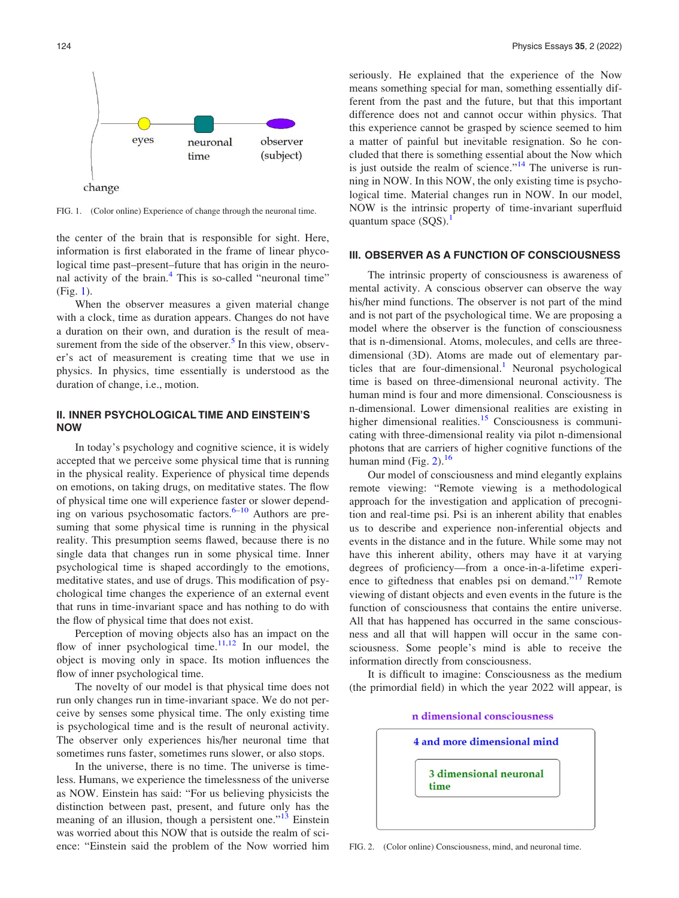

FIG. 1. (Color online) Experience of change through the neuronal time.

the center of the brain that is responsible for sight. Here, information is first elaborated in the frame of linear phycological time past–present–future that has origin in the neuronal activity of the brain. $4$  This is so-called "neuronal time" (Fig. 1).

When the observer measures a given material change with a clock, time as duration appears. Changes do not have a duration on their own, and duration is the result of measurement from the side of the observer. $<sup>5</sup>$  $<sup>5</sup>$  $<sup>5</sup>$  In this view, observ-</sup> er's act of measurement is creating time that we use in physics. In physics, time essentially is understood as the duration of change, i.e., motion.

### II. INNER PSYCHOLOGICAL TIME AND EINSTEIN'S NOW

In today's psychology and cognitive science, it is widely accepted that we perceive some physical time that is running in the physical reality. Experience of physical time depends on emotions, on taking drugs, on meditative states. The flow of physical time one will experience faster or slower depending on various psychosomatic factors. $6-10$  Authors are presuming that some physical time is running in the physical reality. This presumption seems flawed, because there is no single data that changes run in some physical time. Inner psychological time is shaped accordingly to the emotions, meditative states, and use of drugs. This modification of psychological time changes the experience of an external event that runs in time-invariant space and has nothing to do with the flow of physical time that does not exist.

Perception of moving objects also has an impact on the flow of inner psychological time. $11,12$  In our model, the object is moving only in space. Its motion influences the flow of inner psychological time.

The novelty of our model is that physical time does not run only changes run in time-invariant space. We do not perceive by senses some physical time. The only existing time is psychological time and is the result of neuronal activity. The observer only experiences his/her neuronal time that sometimes runs faster, sometimes runs slower, or also stops.

In the universe, there is no time. The universe is timeless. Humans, we experience the timelessness of the universe as NOW. Einstein has said: "For us believing physicists the distinction between past, present, and future only has the meaning of an illusion, though a persistent one."<sup>[13](#page-3-0)</sup> Einstein was worried about this NOW that is outside the realm of science: "Einstein said the problem of the Now worried him seriously. He explained that the experience of the Now means something special for man, something essentially different from the past and the future, but that this important difference does not and cannot occur within physics. That this experience cannot be grasped by science seemed to him a matter of painful but inevitable resignation. So he concluded that there is something essential about the Now which is just outside the realm of science."<sup>[14](#page-3-0)</sup> The universe is running in NOW. In this NOW, the only existing time is psychological time. Material changes run in NOW. In our model, NOW is the intrinsic property of time-invariant superfluid quantum space  $(SOS)$ .<sup>[1](#page-3-0)</sup>

### III. OBSERVER AS A FUNCTION OF CONSCIOUSNESS

The intrinsic property of consciousness is awareness of mental activity. A conscious observer can observe the way his/her mind functions. The observer is not part of the mind and is not part of the psychological time. We are proposing a model where the observer is the function of consciousness that is n-dimensional. Atoms, molecules, and cells are threedimensional (3D). Atoms are made out of elementary par-ticles that are four-dimensional.<sup>[1](#page-3-0)</sup> Neuronal psychological time is based on three-dimensional neuronal activity. The human mind is four and more dimensional. Consciousness is n-dimensional. Lower dimensional realities are existing in higher dimensional realities.<sup>[15](#page-3-0)</sup> Consciousness is communicating with three-dimensional reality via pilot n-dimensional photons that are carriers of higher cognitive functions of the human mind (Fig. 2). $^{16}$  $^{16}$  $^{16}$ 

Our model of consciousness and mind elegantly explains remote viewing: "Remote viewing is a methodological approach for the investigation and application of precognition and real-time psi. Psi is an inherent ability that enables us to describe and experience non-inferential objects and events in the distance and in the future. While some may not have this inherent ability, others may have it at varying degrees of proficiency—from a once-in-a-lifetime experi-ence to giftedness that enables psi on demand."<sup>[17](#page-3-0)</sup> Remote viewing of distant objects and even events in the future is the function of consciousness that contains the entire universe. All that has happened has occurred in the same consciousness and all that will happen will occur in the same consciousness. Some people's mind is able to receive the information directly from consciousness.

It is difficult to imagine: Consciousness as the medium (the primordial field) in which the year 2022 will appear, is





FIG. 2. (Color online) Consciousness, mind, and neuronal time.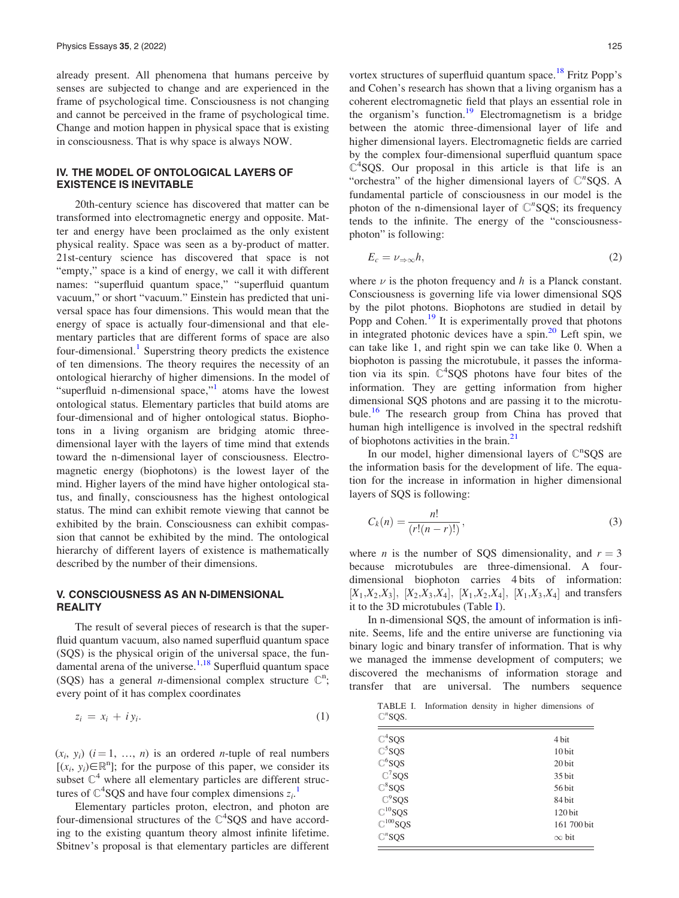already present. All phenomena that humans perceive by senses are subjected to change and are experienced in the frame of psychological time. Consciousness is not changing and cannot be perceived in the frame of psychological time. Change and motion happen in physical space that is existing in consciousness. That is why space is always NOW.

## IV. THE MODEL OF ONTOLOGICAL LAYERS OF EXISTENCE IS INEVITABLE

20th-century science has discovered that matter can be transformed into electromagnetic energy and opposite. Matter and energy have been proclaimed as the only existent physical reality. Space was seen as a by-product of matter. 21st-century science has discovered that space is not "empty," space is a kind of energy, we call it with different names: "superfluid quantum space," "superfluid quantum vacuum," or short "vacuum." Einstein has predicted that universal space has four dimensions. This would mean that the energy of space is actually four-dimensional and that elementary particles that are different forms of space are also four-dimensional.<sup>[1](#page-3-0)</sup> Superstring theory predicts the existence of ten dimensions. The theory requires the necessity of an ontological hierarchy of higher dimensions. In the model of "superfluid n-dimensional space,"<sup>[1](#page-3-0)</sup> atoms have the lowest ontological status. Elementary particles that build atoms are four-dimensional and of higher ontological status. Biophotons in a living organism are bridging atomic threedimensional layer with the layers of time mind that extends toward the n-dimensional layer of consciousness. Electromagnetic energy (biophotons) is the lowest layer of the mind. Higher layers of the mind have higher ontological status, and finally, consciousness has the highest ontological status. The mind can exhibit remote viewing that cannot be exhibited by the brain. Consciousness can exhibit compassion that cannot be exhibited by the mind. The ontological hierarchy of different layers of existence is mathematically described by the number of their dimensions.

## V. CONSCIOUSNESS AS AN N-DIMENSIONAL **REALITY**

The result of several pieces of research is that the superfluid quantum vacuum, also named superfluid quantum space (SQS) is the physical origin of the universal space, the fundamental arena of the universe. $1,18$  Superfluid quantum space (SQS) has a general *n*-dimensional complex structure  $\mathbb{C}^n$ ; every point of it has complex coordinates

$$
z_i = x_i + iy_i. \tag{1}
$$

 $(x_i, y_i)$   $(i = 1, ..., n)$  is an ordered *n*-tuple of real numbers  $[(x_i, y_i) \in \mathbb{R}^n]$ ; for the purpose of this paper, we consider its subset  $\mathbb{C}^4$  where all elementary particles are different structures of  $\mathbb{C}^4$ SQS and have four complex dimensions  $z_i$ .

Elementary particles proton, electron, and photon are four-dimensional structures of the  $\mathbb{C}^4$ SQS and have according to the existing quantum theory almost infinite lifetime. Sbitnev's proposal is that elementary particles are different vortex structures of superfluid quantum space.<sup>[18](#page-3-0)</sup> Fritz Popp's and Cohen's research has shown that a living organism has a coherent electromagnetic field that plays an essential role in the organism's function.<sup>[19](#page-3-0)</sup> Electromagnetism is a bridge between the atomic three-dimensional layer of life and higher dimensional layers. Electromagnetic fields are carried by the complex four-dimensional superfluid quantum space  $C<sup>4</sup>$ SQS. Our proposal in this article is that life is an "orchestra" of the higher dimensional layers of  $\mathbb{C}^n$ SQS. A fundamental particle of consciousness in our model is the photon of the n-dimensional layer of  $\mathbb{C}^n$ SQS; its frequency tends to the infinite. The energy of the "consciousnessphoton" is following:

$$
E_c = \nu_{\Rightarrow \infty} h,\tag{2}
$$

where  $\nu$  is the photon frequency and h is a Planck constant. Consciousness is governing life via lower dimensional SQS by the pilot photons. Biophotons are studied in detail by Popp and Cohen.<sup>[19](#page-3-0)</sup> It is experimentally proved that photons in integrated photonic devices have a spin. $^{20}$  $^{20}$  $^{20}$  Left spin, we can take like 1, and right spin we can take like 0. When a biophoton is passing the microtubule, it passes the information via its spin.  $C^4$ SQS photons have four bites of the information. They are getting information from higher dimensional SQS photons and are passing it to the microtubule.[16](#page-3-0) The research group from China has proved that human high intelligence is involved in the spectral redshift of biophotons activities in the brain. $21$ 

In our model, higher dimensional layers of  $\mathbb{C}^n$ SQS are the information basis for the development of life. The equation for the increase in information in higher dimensional layers of SQS is following:

$$
C_k(n) = \frac{n!}{(r!(n-r)!)},
$$
\n(3)

where *n* is the number of SQS dimensionality, and  $r = 3$ because microtubules are three-dimensional. A fourdimensional biophoton carries 4 bits of information:  $[X_1,X_2,X_3], [X_2,X_3,X_4], [X_1,X_2,X_4], [X_1,X_3,X_4]$  and transfers it to the 3D microtubules (Table I).

In n-dimensional SQS, the amount of information is infinite. Seems, life and the entire universe are functioning via binary logic and binary transfer of information. That is why we managed the immense development of computers; we discovered the mechanisms of information storage and transfer that are universal. The numbers sequence

TABLE I. Information density in higher dimensions of  $\mathbb{C}^n$ SQS.

| $\mathbb{C}^4$ SQS     | 4 bit        |
|------------------------|--------------|
| $\mathbb{C}^5$ SQS     | 10 bit       |
| $\mathbb{C}^6$ SQS     | 20 bit       |
| $\mathbb{C}^7$ SQS     | 35 bit       |
| $\mathbb{C}^8$ SQS     | 56 bit       |
| $\mathbb{C}^9$ SQS     | 84 bit       |
| $\mathbb{C}^{10}$ SQS  | 120 bit      |
| $\mathbb{C}^{100}$ SQS | 161 700 bit  |
| $\mathbb{C}^n$ SOS     | $\infty$ bit |